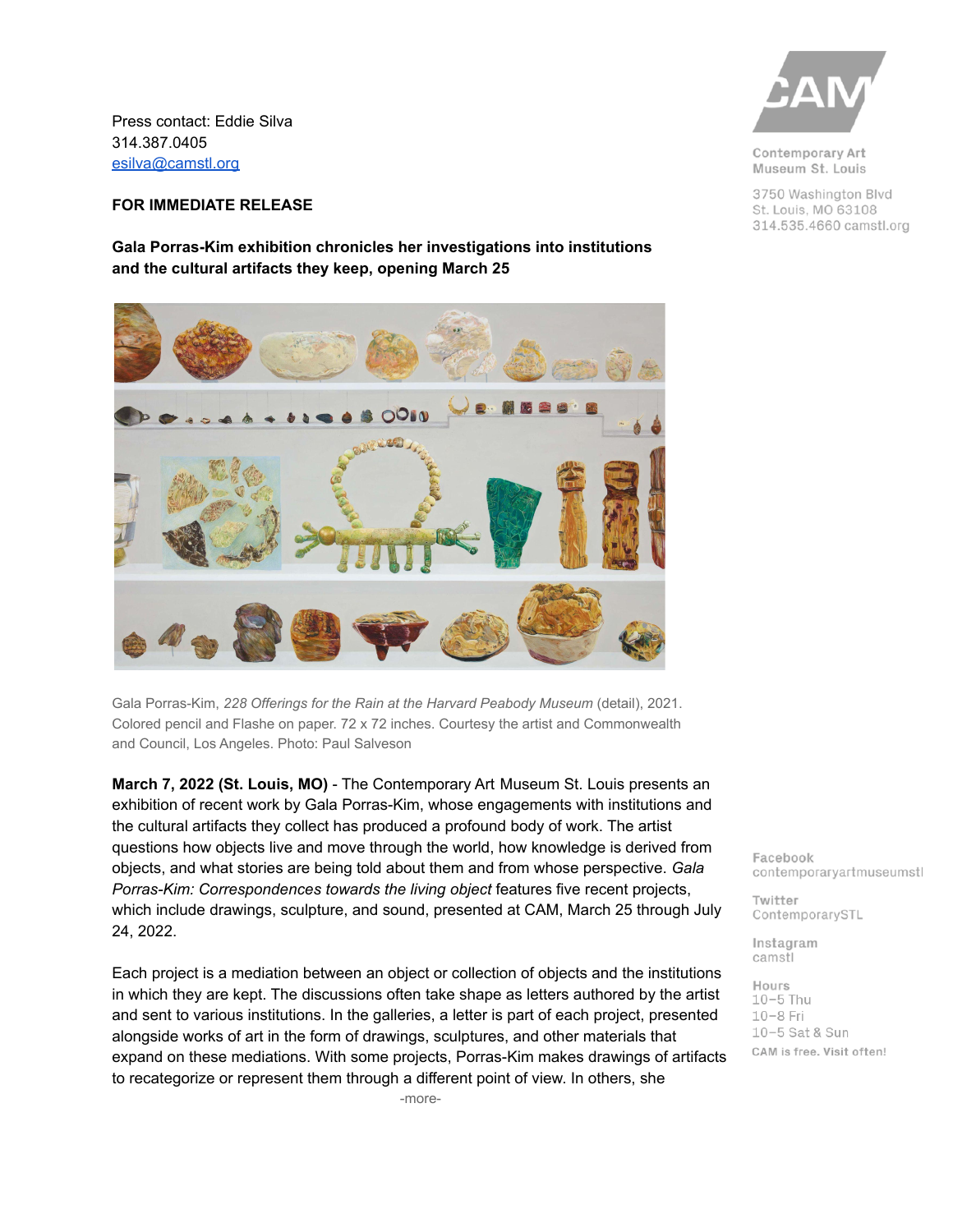Press contact: Eddie Silva 314.387.0405 [esilva@camstl.org](mailto:esilva@camstl.org)

## **FOR IMMEDIATE RELEASE**

**Gala Porras-Kim exhibition chronicles her investigations into institutions and the cultural artifacts they keep, opening March 25**



Gala Porras-Kim, *228 Offerings for the Rain at the Harvard Peabody Museum* (detail), 2021. Colored pencil and Flashe on paper. 72 x 72 inches. Courtesy the artist and Commonwealth and Council, Los Angeles. Photo: Paul Salveson

**March 7, 2022 (St. Louis, MO)** - The Contemporary Art Museum St. Louis presents an exhibition of recent work by Gala Porras-Kim, whose engagements with institutions and the cultural artifacts they collect has produced a profound body of work. The artist questions how objects live and move through the world, how knowledge is derived from objects, and what stories are being told about them and from whose perspective. *Gala Porras-Kim: Correspondences towards the living object* features five recent projects, which include drawings, sculpture, and sound, presented at CAM, March 25 through July 24, 2022.

Each project is a mediation between an object or collection of objects and the institutions in which they are kept. The discussions often take shape as letters authored by the artist and sent to various institutions. In the galleries, a letter is part of each project, presented alongside works of art in the form of drawings, sculptures, and other materials that expand on these mediations. With some projects, Porras-Kim makes drawings of artifacts to recategorize or represent them through a different point of view. In others, she



Contemporary Art Museum St. Louis

3750 Washington Blvd St. Louis, MO 63108 314.535.4660 camstl.org

Facebook contemporaryartmuseumstl

Twitter ContemporarySTL

Instagram camstl

Hours  $10-5$  Thu  $10-8$  Fri 10-5 Sat & Sun CAM is free. Visit often!

-more-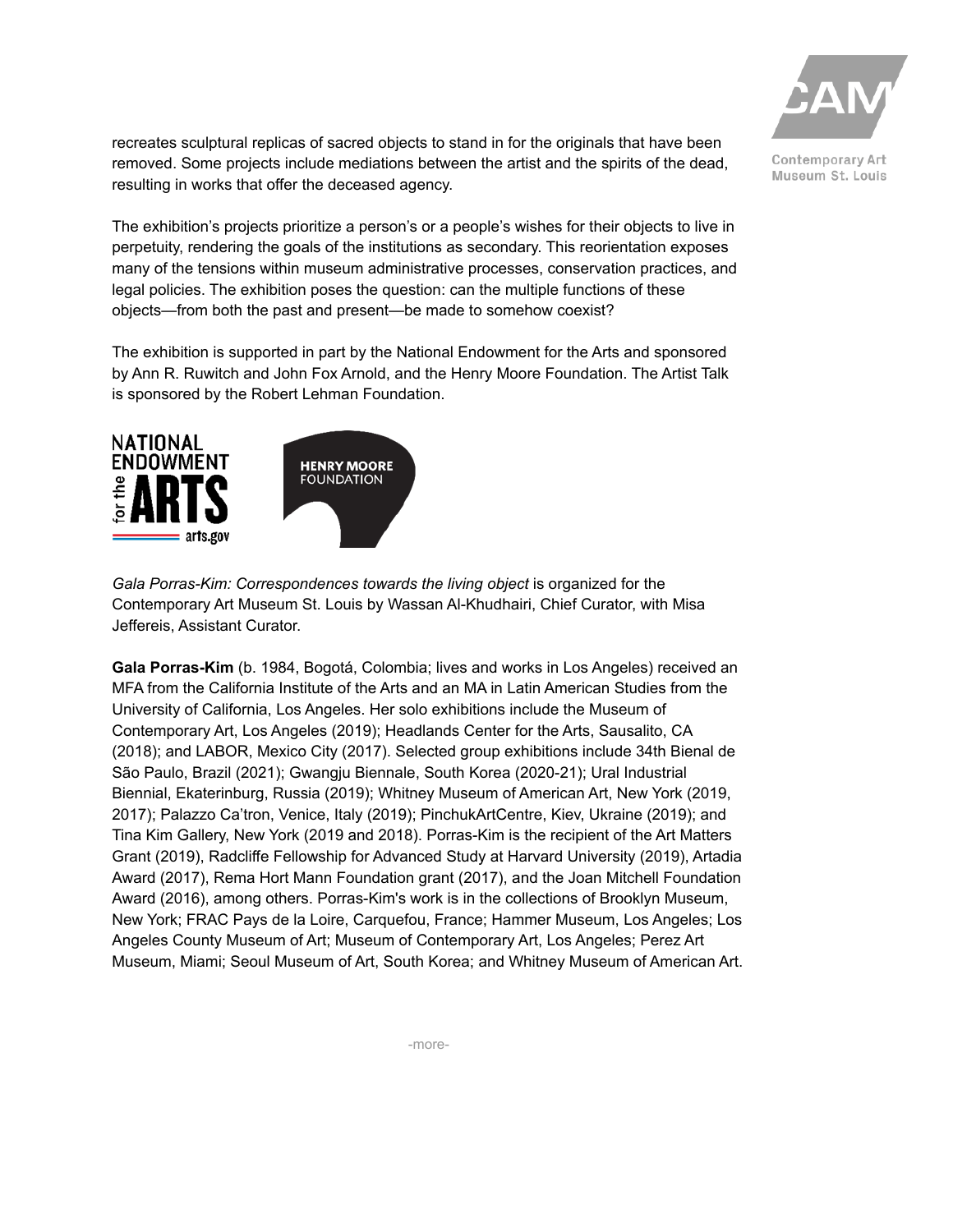

Museum St. Louis

recreates sculptural replicas of sacred objects to stand in for the originals that have been removed. Some projects include mediations between the artist and the spirits of the dead, resulting in works that offer the deceased agency.

The exhibition's projects prioritize a person's or a people's wishes for their objects to live in perpetuity, rendering the goals of the institutions as secondary. This reorientation exposes many of the tensions within museum administrative processes, conservation practices, and legal policies. The exhibition poses the question: can the multiple functions of these objects—from both the past and present—be made to somehow coexist?

The exhibition is supported in part by the National Endowment for the Arts and sponsored by Ann R. Ruwitch and John Fox Arnold, and the Henry Moore Foundation. The Artist Talk is sponsored by the Robert Lehman Foundation.



*Gala Porras-Kim: Correspondences towards the living object* is organized for the Contemporary Art Museum St. Louis by Wassan Al-Khudhairi, Chief Curator, with Misa Jeffereis, Assistant Curator.

**Gala Porras-Kim** (b. 1984, Bogotá, Colombia; lives and works in Los Angeles) received an MFA from the California Institute of the Arts and an MA in Latin American Studies from the University of California, Los Angeles. Her solo exhibitions include the Museum of Contemporary Art, Los Angeles (2019); Headlands Center for the Arts, Sausalito, CA (2018); and LABOR, Mexico City (2017). Selected group exhibitions include 34th Bienal de São Paulo, Brazil (2021); Gwangju Biennale, South Korea (2020-21); Ural Industrial Biennial, Ekaterinburg, Russia (2019); Whitney Museum of American Art, New York (2019, 2017); Palazzo Ca'tron, Venice, Italy (2019); PinchukArtCentre, Kiev, Ukraine (2019); and Tina Kim Gallery, New York (2019 and 2018). Porras-Kim is the recipient of the Art Matters Grant (2019), Radcliffe Fellowship for Advanced Study at Harvard University (2019), Artadia Award (2017), Rema Hort Mann Foundation grant (2017), and the Joan Mitchell Foundation Award (2016), among others. Porras-Kim's work is in the collections of Brooklyn Museum, New York; FRAC Pays de la Loire, Carquefou, France; Hammer Museum, Los Angeles; Los Angeles County Museum of Art; Museum of Contemporary Art, Los Angeles; Perez Art Museum, Miami; Seoul Museum of Art, South Korea; and Whitney Museum of American Art.

-more-